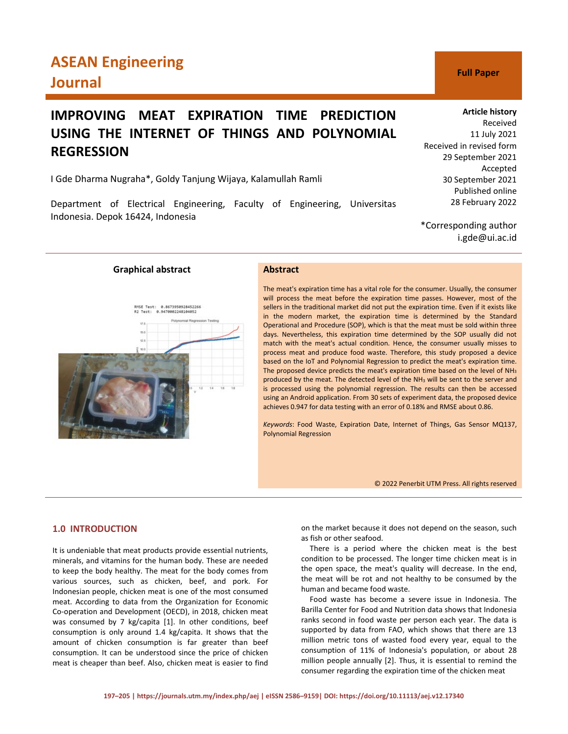# **ASEAN Engineering Journal CONSUMER SERVICE SERVICE SERVICE SERVICE SERVICE SERVICE SERVICE SERVICE SERVICE SERVICE SERVICE SERVICE SERVICE SERVICE SERVICE SERVICE SERVICE SERVICE SERVICE SERVICE SERVICE SERVICE SERVICE SERVICE SERVICE SE**

# **IMPROVING MEAT EXPIRATION TIME PREDICTION USING THE INTERNET OF THINGS AND POLYNOMIAL REGRESSION**

I Gde Dharma Nugraha\*, Goldy Tanjung Wijaya, Kalamullah Ramli

Department of Electrical Engineering, Faculty of Engineering, Universitas Indonesia. Depok 16424, Indonesia



\*Corresponding author i.gde@ui.ac.id

**Graphical abstract Abstract**

RMSE Test: 0.8673950928452266<br>R2 Test: 0.9470002248104052



The meat's expiration time has a vital role for the consumer. Usually, the consumer will process the meat before the expiration time passes. However, most of the sellers in the traditional market did not put the expiration time. Even if it exists like in the modern market, the expiration time is determined by the Standard Operational and Procedure (SOP), which is that the meat must be sold within three days. Nevertheless, this expiration time determined by the SOP usually did not match with the meat's actual condition. Hence, the consumer usually misses to process meat and produce food waste. Therefore, this study proposed a device based on the IoT and Polynomial Regression to predict the meat's expiration time. The proposed device predicts the meat's expiration time based on the level of NH3 produced by the meat. The detected level of the NH3 will be sent to the server and is processed using the polynomial regression. The results can then be accessed using an Android application. From 30 sets of experiment data, the proposed device achieves 0.947 for data testing with an error of 0.18% and RMSE about 0.86.

*Keywords*: Food Waste, Expiration Date, Internet of Things, Gas Sensor MQ137, Polynomial Regression

© 2022 Penerbit UTM Press. All rights reserved

## **1.0 INTRODUCTION**

It is undeniable that meat products provide essential nutrients, minerals, and vitamins for the human body. These are needed to keep the body healthy. The meat for the body comes from various sources, such as chicken, beef, and pork. For Indonesian people, chicken meat is one of the most consumed meat. According to data from the Organization for Economic Co-operation and Development (OECD), in 2018, chicken meat was consumed by 7 kg/capita [1]. In other conditions, beef consumption is only around 1.4 kg/capita. It shows that the amount of chicken consumption is far greater than beef consumption. It can be understood since the price of chicken meat is cheaper than beef. Also, chicken meat is easier to find on the market because it does not depend on the season, such as fish or other seafood.

There is a period where the chicken meat is the best condition to be processed. The longer time chicken meat is in the open space, the meat's quality will decrease. In the end, the meat will be rot and not healthy to be consumed by the human and became food waste.

Food waste has become a severe issue in Indonesia. The Barilla Center for Food and Nutrition data shows that Indonesia ranks second in food waste per person each year. The data is supported by data from FAO, which shows that there are 13 million metric tons of wasted food every year, equal to the consumption of 11% of Indonesia's population, or about 28 million people annually [2]. Thus, it is essential to remind the consumer regarding the expiration time of the chicken meat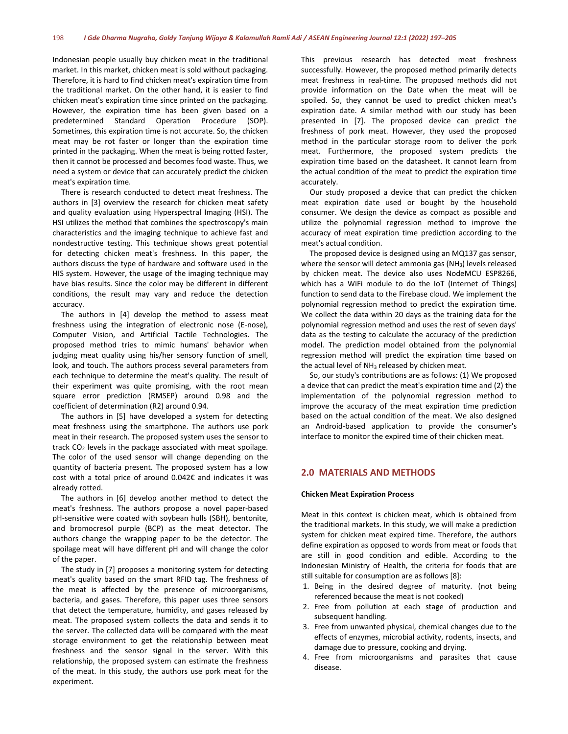Indonesian people usually buy chicken meat in the traditional market. In this market, chicken meat is sold without packaging. Therefore, it is hard to find chicken meat's expiration time from the traditional market. On the other hand, it is easier to find chicken meat's expiration time since printed on the packaging. However, the expiration time has been given based on a predetermined Standard Operation Procedure (SOP). Sometimes, this expiration time is not accurate. So, the chicken meat may be rot faster or longer than the expiration time printed in the packaging. When the meat is being rotted faster, then it cannot be processed and becomes food waste. Thus, we need a system or device that can accurately predict the chicken meat's expiration time.

There is research conducted to detect meat freshness. The authors in [3] overview the research for chicken meat safety and quality evaluation using Hyperspectral Imaging (HSI). The HSI utilizes the method that combines the spectroscopy's main characteristics and the imaging technique to achieve fast and nondestructive testing. This technique shows great potential for detecting chicken meat's freshness. In this paper, the authors discuss the type of hardware and software used in the HIS system. However, the usage of the imaging technique may have bias results. Since the color may be different in different conditions, the result may vary and reduce the detection accuracy.

The authors in [4] develop the method to assess meat freshness using the integration of electronic nose (E-nose), Computer Vision, and Artificial Tactile Technologies. The proposed method tries to mimic humans' behavior when judging meat quality using his/her sensory function of smell, look, and touch. The authors process several parameters from each technique to determine the meat's quality. The result of their experiment was quite promising, with the root mean square error prediction (RMSEP) around 0.98 and the coefficient of determination (R2) around 0.94.

The authors in [5] have developed a system for detecting meat freshness using the smartphone. The authors use pork meat in their research. The proposed system uses the sensor to track  $CO<sub>2</sub>$  levels in the package associated with meat spoilage. The color of the used sensor will change depending on the quantity of bacteria present. The proposed system has a low cost with a total price of around 0.042€ and indicates it was already rotted.

The authors in [6] develop another method to detect the meat's freshness. The authors propose a novel paper-based pH-sensitive were coated with soybean hulls (SBH), bentonite, and bromocresol purple (BCP) as the meat detector. The authors change the wrapping paper to be the detector. The spoilage meat will have different pH and will change the color of the paper.

The study in [7] proposes a monitoring system for detecting meat's quality based on the smart RFID tag. The freshness of the meat is affected by the presence of microorganisms, bacteria, and gases. Therefore, this paper uses three sensors that detect the temperature, humidity, and gases released by meat. The proposed system collects the data and sends it to the server. The collected data will be compared with the meat storage environment to get the relationship between meat freshness and the sensor signal in the server. With this relationship, the proposed system can estimate the freshness of the meat. In this study, the authors use pork meat for the experiment.

This previous research has detected meat freshness successfully. However, the proposed method primarily detects meat freshness in real-time. The proposed methods did not provide information on the Date when the meat will be spoiled. So, they cannot be used to predict chicken meat's expiration date. A similar method with our study has been presented in [7]. The proposed device can predict the freshness of pork meat. However, they used the proposed method in the particular storage room to deliver the pork meat. Furthermore, the proposed system predicts the expiration time based on the datasheet. It cannot learn from the actual condition of the meat to predict the expiration time accurately.

Our study proposed a device that can predict the chicken meat expiration date used or bought by the household consumer. We design the device as compact as possible and utilize the polynomial regression method to improve the accuracy of meat expiration time prediction according to the meat's actual condition.

The proposed device is designed using an MQ137 gas sensor, where the sensor will detect ammonia gas ( $NH<sub>3</sub>$ ) levels released by chicken meat. The device also uses NodeMCU ESP8266, which has a WiFi module to do the IoT (Internet of Things) function to send data to the Firebase cloud. We implement the polynomial regression method to predict the expiration time. We collect the data within 20 days as the training data for the polynomial regression method and uses the rest of seven days' data as the testing to calculate the accuracy of the prediction model. The prediction model obtained from the polynomial regression method will predict the expiration time based on the actual level of  $NH<sub>3</sub>$  released by chicken meat.

So, our study's contributions are as follows: (1) We proposed a device that can predict the meat's expiration time and (2) the implementation of the polynomial regression method to improve the accuracy of the meat expiration time prediction based on the actual condition of the meat. We also designed an Android-based application to provide the consumer's interface to monitor the expired time of their chicken meat.

## **2.0 MATERIALS AND METHODS**

#### **Chicken Meat Expiration Process**

Meat in this context is chicken meat, which is obtained from the traditional markets. In this study, we will make a prediction system for chicken meat expired time. Therefore, the authors define expiration as opposed to words from meat or foods that are still in good condition and edible. According to the Indonesian Ministry of Health, the criteria for foods that are still suitable for consumption are as follows [8]:

- 1. Being in the desired degree of maturity. (not being referenced because the meat is not cooked)
- 2. Free from pollution at each stage of production and subsequent handling.
- 3. Free from unwanted physical, chemical changes due to the effects of enzymes, microbial activity, rodents, insects, and damage due to pressure, cooking and drying.
- 4. Free from microorganisms and parasites that cause disease.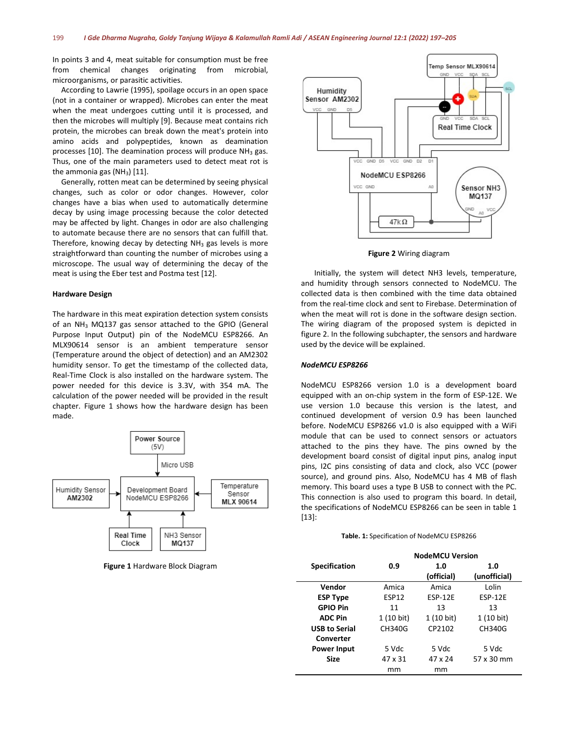In points 3 and 4, meat suitable for consumption must be free from chemical changes originating from microbial, microorganisms, or parasitic activities.

According to Lawrie (1995), spoilage occurs in an open space (not in a container or wrapped). Microbes can enter the meat when the meat undergoes cutting until it is processed, and then the microbes will multiply [9]. Because meat contains rich protein, the microbes can break down the meat's protein into amino acids and polypeptides, known as deamination processes [10]. The deamination process will produce  $NH<sub>3</sub>$  gas. Thus, one of the main parameters used to detect meat rot is the ammonia gas  $(NH_3)$  [11].

Generally, rotten meat can be determined by seeing physical changes, such as color or odor changes. However, color changes have a bias when used to automatically determine decay by using image processing because the color detected may be affected by light. Changes in odor are also challenging to automate because there are no sensors that can fulfill that. Therefore, knowing decay by detecting  $NH<sub>3</sub>$  gas levels is more straightforward than counting the number of microbes using a microscope. The usual way of determining the decay of the meat is using the Eber test and Postma test [12].

#### **Hardware Design**

The hardware in this meat expiration detection system consists of an NH<sub>3</sub> MQ137 gas sensor attached to the GPIO (General Purpose Input Output) pin of the NodeMCU ESP8266. An MLX90614 sensor is an ambient temperature sensor (Temperature around the object of detection) and an AM2302 humidity sensor. To get the timestamp of the collected data, Real-Time Clock is also installed on the hardware system. The power needed for this device is 3.3V, with 354 mA. The calculation of the power needed will be provided in the result chapter. Figure 1 shows how the hardware design has been made.



**Figure 1** Hardware Block Diagram



**Figure 2** Wiring diagram

Initially, the system will detect NH3 levels, temperature, and humidity through sensors connected to NodeMCU. The collected data is then combined with the time data obtained from the real-time clock and sent to Firebase. Determination of when the meat will rot is done in the software design section. The wiring diagram of the proposed system is depicted in figure 2. In the following subchapter, the sensors and hardware used by the device will be explained.

#### *NodeMCU ESP8266*

NodeMCU ESP8266 version 1.0 is a development board equipped with an on-chip system in the form of ESP-12E. We use version 1.0 because this version is the latest, and continued development of version 0.9 has been launched before. NodeMCU ESP8266 v1.0 is also equipped with a WiFi module that can be used to connect sensors or actuators attached to the pins they have. The pins owned by the development board consist of digital input pins, analog input pins, I2C pins consisting of data and clock, also VCC (power source), and ground pins. Also, NodeMCU has 4 MB of flash memory. This board uses a type B USB to connect with the PC. This connection is also used to program this board. In detail, the specifications of NodeMCU ESP8266 can be seen in table 1 [13]:

#### **Table. 1:** Specification of NodeMCU ESP8266

|                      | <b>NodeMCU Version</b> |            |                |  |
|----------------------|------------------------|------------|----------------|--|
| <b>Specification</b> | 0.9                    | 1.0        | 1.0            |  |
|                      |                        | (official) | (unofficial)   |  |
| Vendor               | Amica                  | Amica      | Lolin          |  |
| <b>ESP Type</b>      | <b>ESP12</b>           | ESP-12E    | <b>ESP-12E</b> |  |
| <b>GPIO Pin</b>      | 11                     | 13         | 13             |  |
| <b>ADC Pin</b>       | $1(10 \text{ bit})$    | 1 (10 bit) | 1 (10 bit)     |  |
| <b>USB to Serial</b> | CH340G                 | CP2102     | CH340G         |  |
| Converter            |                        |            |                |  |
| <b>Power Input</b>   | 5 Vdc                  | 5 Vdc      | 5 Vdc          |  |
| <b>Size</b>          | 47 x 31                | 47 x 24    | 57 x 30 mm     |  |
|                      | mm                     | mm         |                |  |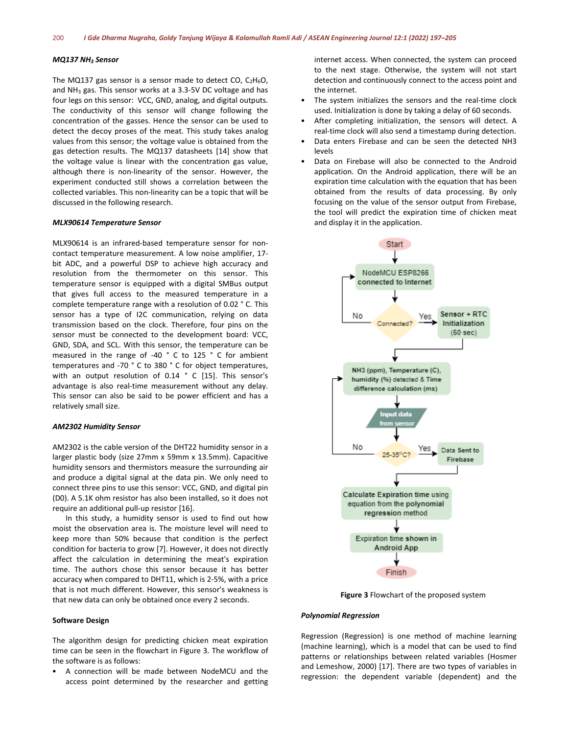#### *MQ137 NH3 Sensor*

The MQ137 gas sensor is a sensor made to detect CO,  $C_2H_6O$ , and  $NH<sub>3</sub>$  gas. This sensor works at a 3.3-5V DC voltage and has four legs on this sensor: VCC, GND, analog, and digital outputs. The conductivity of this sensor will change following the concentration of the gasses. Hence the sensor can be used to detect the decoy proses of the meat. This study takes analog values from this sensor; the voltage value is obtained from the gas detection results. The MQ137 datasheets [14] show that the voltage value is linear with the concentration gas value, although there is non-linearity of the sensor. However, the experiment conducted still shows a correlation between the collected variables. This non-linearity can be a topic that will be discussed in the following research.

#### *MLX90614 Temperature Sensor*

MLX90614 is an infrared-based temperature sensor for noncontact temperature measurement. A low noise amplifier, 17 bit ADC, and a powerful DSP to achieve high accuracy and resolution from the thermometer on this sensor. This temperature sensor is equipped with a digital SMBus output that gives full access to the measured temperature in a complete temperature range with a resolution of 0.02 ° C. This sensor has a type of I2C communication, relying on data transmission based on the clock. Therefore, four pins on the sensor must be connected to the development board: VCC, GND, SDA, and SCL. With this sensor, the temperature can be measured in the range of -40 ° C to 125 ° C for ambient temperatures and -70 ° C to 380 ° C for object temperatures, with an output resolution of 0.14 ° C [15]. This sensor's advantage is also real-time measurement without any delay. This sensor can also be said to be power efficient and has a relatively small size.

#### *AM2302 Humidity Sensor*

AM2302 is the cable version of the DHT22 humidity sensor in a larger plastic body (size 27mm x 59mm x 13.5mm). Capacitive humidity sensors and thermistors measure the surrounding air and produce a digital signal at the data pin. We only need to connect three pins to use this sensor: VCC, GND, and digital pin (D0). A 5.1K ohm resistor has also been installed, so it does not require an additional pull-up resistor [16].

In this study, a humidity sensor is used to find out how moist the observation area is. The moisture level will need to keep more than 50% because that condition is the perfect condition for bacteria to grow [7]. However, it does not directly affect the calculation in determining the meat's expiration time. The authors chose this sensor because it has better accuracy when compared to DHT11, which is 2-5%, with a price that is not much different. However, this sensor's weakness is that new data can only be obtained once every 2 seconds.

#### **Software Design**

The algorithm design for predicting chicken meat expiration time can be seen in the flowchart in Figure 3. The workflow of the software is as follows:

• A connection will be made between NodeMCU and the access point determined by the researcher and getting internet access. When connected, the system can proceed to the next stage. Otherwise, the system will not start detection and continuously connect to the access point and the internet.

- The system initializes the sensors and the real-time clock used. Initialization is done by taking a delay of 60 seconds.
- After completing initialization, the sensors will detect. A real-time clock will also send a timestamp during detection.
- Data enters Firebase and can be seen the detected NH3 levels
- Data on Firebase will also be connected to the Android application. On the Android application, there will be an expiration time calculation with the equation that has been obtained from the results of data processing. By only focusing on the value of the sensor output from Firebase, the tool will predict the expiration time of chicken meat and display it in the application.



**Figure 3** Flowchart of the proposed system

#### *Polynomial Regression*

Regression (Regression) is one method of machine learning (machine learning), which is a model that can be used to find patterns or relationships between related variables (Hosmer and Lemeshow, 2000) [17]. There are two types of variables in regression: the dependent variable (dependent) and the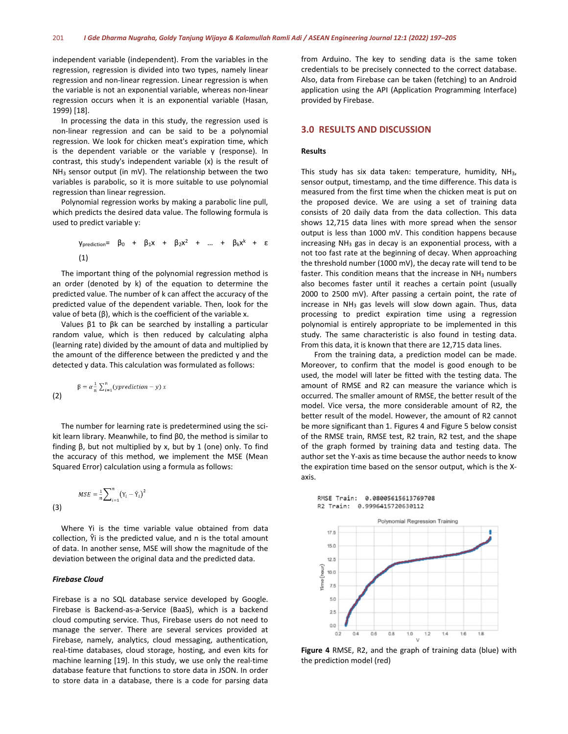independent variable (independent). From the variables in the regression, regression is divided into two types, namely linear regression and non-linear regression. Linear regression is when the variable is not an exponential variable, whereas non-linear regression occurs when it is an exponential variable (Hasan, 1999) [18].

In processing the data in this study, the regression used is non-linear regression and can be said to be a polynomial regression. We look for chicken meat's expiration time, which is the dependent variable or the variable y (response). In contrast, this study's independent variable (x) is the result of  $NH<sub>3</sub>$  sensor output (in mV). The relationship between the two variables is parabolic, so it is more suitable to use polynomial regression than linear regression.

Polynomial regression works by making a parabolic line pull, which predicts the desired data value. The following formula is used to predict variable y:

$$
y_{prediction} = \beta_0 + \beta_1 x + \beta_2 x^2 + \dots + \beta_k x^k + \varepsilon
$$
  
(1)

The important thing of the polynomial regression method is an order (denoted by k) of the equation to determine the predicted value. The number of k can affect the accuracy of the predicted value of the dependent variable. Then, look for the value of beta (β), which is the coefficient of the variable x.

Values  $β1$  to  $βk$  can be searched by installing a particular random value, which is then reduced by calculating alpha (learning rate) divided by the amount of data and multiplied by the amount of the difference between the predicted y and the detected y data. This calculation was formulated as follows:

$$
\beta = \alpha \frac{1}{n} \sum_{i=1}^{n} (yprediction - y) x
$$
 (2)

The number for learning rate is predetermined using the scikit learn library. Meanwhile, to find β0, the method is similar to finding β, but not multiplied by x, but by 1 (one) only. To find the accuracy of this method, we implement the MSE (Mean Squared Error) calculation using a formula as follows:

(3) 
$$
MSE = \frac{1}{n} \sum_{i=1}^{n} (Y_i - \hat{Y}_i)^2
$$

Where Yi is the time variable value obtained from data collection, Ŷi is the predicted value, and n is the total amount of data. In another sense, MSE will show the magnitude of the deviation between the original data and the predicted data.

#### *Firebase Cloud*

Firebase is a no SQL database service developed by Google. Firebase is Backend-as-a-Service (BaaS), which is a backend cloud computing service. Thus, Firebase users do not need to manage the server. There are several services provided at Firebase, namely, analytics, cloud messaging, authentication, real-time databases, cloud storage, hosting, and even kits for machine learning [19]. In this study, we use only the real-time database feature that functions to store data in JSON. In order to store data in a database, there is a code for parsing data

from Arduino. The key to sending data is the same token credentials to be precisely connected to the correct database. Also, data from Firebase can be taken (fetching) to an Android application using the API (Application Programming Interface) provided by Firebase.

#### **3.0 RESULTS AND DISCUSSION**

#### **Results**

This study has six data taken: temperature, humidity, NH3, sensor output, timestamp, and the time difference. This data is measured from the first time when the chicken meat is put on the proposed device. We are using a set of training data consists of 20 daily data from the data collection. This data shows 12,715 data lines with more spread when the sensor output is less than 1000 mV. This condition happens because increasing NH<sub>3</sub> gas in decay is an exponential process, with a not too fast rate at the beginning of decay. When approaching the threshold number (1000 mV), the decay rate will tend to be faster. This condition means that the increase in  $NH<sub>3</sub>$  numbers also becomes faster until it reaches a certain point (usually 2000 to 2500 mV). After passing a certain point, the rate of increase in NH<sub>3</sub> gas levels will slow down again. Thus, data processing to predict expiration time using a regression polynomial is entirely appropriate to be implemented in this study. The same characteristic is also found in testing data. From this data, it is known that there are 12,715 data lines.

From the training data, a prediction model can be made. Moreover, to confirm that the model is good enough to be used, the model will later be fitted with the testing data. The amount of RMSE and R2 can measure the variance which is occurred. The smaller amount of RMSE, the better result of the model. Vice versa, the more considerable amount of R2, the better result of the model. However, the amount of R2 cannot be more significant than 1. Figures 4 and Figure 5 below consist of the RMSE train, RMSE test, R2 train, R2 test, and the shape of the graph formed by training data and testing data. The author set the Y-axis as time because the author needs to know the expiration time based on the sensor output, which is the Xaxis.

RMSE Train: 0.08005615613769708





**Figure 4** RMSE, R2, and the graph of training data (blue) with the prediction model (red)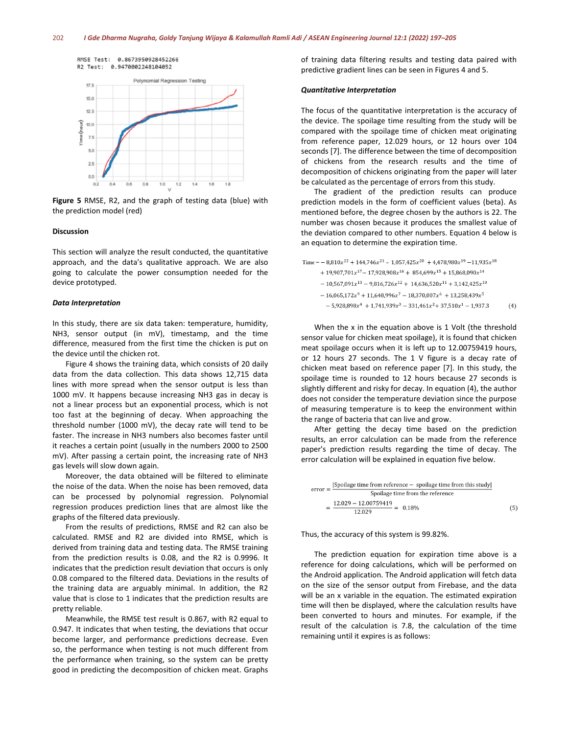

**Figure 5** RMSE, R2, and the graph of testing data (blue) with the prediction model (red)

#### **Discussion**

This section will analyze the result conducted, the quantitative approach, and the data's qualitative approach. We are also going to calculate the power consumption needed for the device prototyped.

#### *Data Interpretation*

In this study, there are six data taken: temperature, humidity, NH3, sensor output (in mV), timestamp, and the time difference, measured from the first time the chicken is put on the device until the chicken rot.

Figure 4 shows the training data, which consists of 20 daily data from the data collection. This data shows 12,715 data lines with more spread when the sensor output is less than 1000 mV. It happens because increasing NH3 gas in decay is not a linear process but an exponential process, which is not too fast at the beginning of decay. When approaching the threshold number (1000 mV), the decay rate will tend to be faster. The increase in NH3 numbers also becomes faster until it reaches a certain point (usually in the numbers 2000 to 2500 mV). After passing a certain point, the increasing rate of NH3 gas levels will slow down again.

Moreover, the data obtained will be filtered to eliminate the noise of the data. When the noise has been removed, data can be processed by polynomial regression. Polynomial regression produces prediction lines that are almost like the graphs of the filtered data previously.

From the results of predictions, RMSE and R2 can also be calculated. RMSE and R2 are divided into RMSE, which is derived from training data and testing data. The RMSE training from the prediction results is 0.08, and the R2 is 0.9996. It indicates that the prediction result deviation that occurs is only 0.08 compared to the filtered data. Deviations in the results of the training data are arguably minimal. In addition, the R2 value that is close to 1 indicates that the prediction results are pretty reliable.

Meanwhile, the RMSE test result is 0.867, with R2 equal to 0.947. It indicates that when testing, the deviations that occur become larger, and performance predictions decrease. Even so, the performance when testing is not much different from the performance when training, so the system can be pretty good in predicting the decomposition of chicken meat. Graphs

of training data filtering results and testing data paired with predictive gradient lines can be seen in Figures 4 and 5.

#### *Quantitative Interpretation*

The focus of the quantitative interpretation is the accuracy of the device. The spoilage time resulting from the study will be compared with the spoilage time of chicken meat originating from reference paper, 12.029 hours, or 12 hours over 104 seconds [7]. The difference between the time of decomposition of chickens from the research results and the time of decomposition of chickens originating from the paper will later be calculated as the percentage of errors from this study.

The gradient of the prediction results can produce prediction models in the form of coefficient values (beta). As mentioned before, the degree chosen by the authors is 22. The number was chosen because it produces the smallest value of the deviation compared to other numbers. Equation 4 below is an equation to determine the expiration time.

Time =  $-8,810x^{22} + 144,746x^{21} - 1,057,425x^{20} + 4,478,980x^{19} - 11,935x^{18}$ + 19,907,701 $x^{17}$  - 17,928,908 $x^{16}$  + 854,699 $x^{15}$  + 15,868,090 $x^{14}$  $-\,10,567,091x^{13} - 9,816,726x^{12} + \,14,636,520x^{11} + 3,142,425x^{10}$  $-\,16,065,172x^{9}+11,648,996x^{7}-18,370,007x^{6}+13,258,439x^{5}$  $-\,5,928,898x^4\,+1,741,939x^3\,-\,331,461x^2\!+37,510x^1-1,937.3$ 

 $(4)$ 

When the x in the equation above is 1 Volt (the threshold sensor value for chicken meat spoilage), it is found that chicken meat spoilage occurs when it is left up to 12.00759419 hours, or 12 hours 27 seconds. The 1 V figure is a decay rate of chicken meat based on reference paper [7]. In this study, the spoilage time is rounded to 12 hours because 27 seconds is slightly different and risky for decay. In equation (4), the author does not consider the temperature deviation since the purpose of measuring temperature is to keep the environment within the range of bacteria that can live and grow.

After getting the decay time based on the prediction results, an error calculation can be made from the reference paper's prediction results regarding the time of decay. The error calculation will be explained in equation five below.

| $error = -$                      | $ Spoilage$ time from reference $-$ spoilage time from this study |     |
|----------------------------------|-------------------------------------------------------------------|-----|
|                                  | Spoilage time from the reference                                  |     |
| $12.029 - 12.00759419$<br>12.029 | $-$ = 0.18%                                                       | (5) |

Thus, the accuracy of this system is 99.82%.

The prediction equation for expiration time above is a reference for doing calculations, which will be performed on the Android application. The Android application will fetch data on the size of the sensor output from Firebase, and the data will be an x variable in the equation. The estimated expiration time will then be displayed, where the calculation results have been converted to hours and minutes. For example, if the result of the calculation is 7.8, the calculation of the time remaining until it expires is as follows: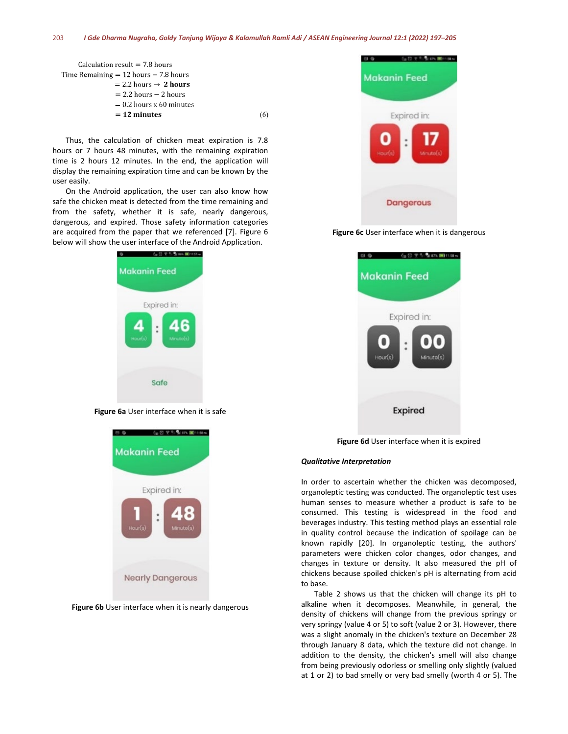$(6)$ 

| Calculation result $= 7.8$ hours          |  |  |  |  |
|-------------------------------------------|--|--|--|--|
| Time Remaining $= 12$ hours $- 7.8$ hours |  |  |  |  |
| $= 2.2$ hours $\rightarrow 2$ hours       |  |  |  |  |
| $= 2.2$ hours $- 2$ hours                 |  |  |  |  |
| $= 0.2$ hours x 60 minutes                |  |  |  |  |
| $= 12$ minutes                            |  |  |  |  |
|                                           |  |  |  |  |

Thus, the calculation of chicken meat expiration is 7.8 hours or 7 hours 48 minutes, with the remaining expiration time is 2 hours 12 minutes. In the end, the application will display the remaining expiration time and can be known by the user easily.

On the Android application, the user can also know how safe the chicken meat is detected from the time remaining and from the safety, whether it is safe, nearly dangerous, dangerous, and expired. Those safety information categories are acquired from the paper that we referenced [7]. Figure 6 below will show the user interface of the Android Application.



**Figure 6a** User interface when it is safe



**Figure 6b** User interface when it is nearly dangerous



**Figure 6c** User interface when it is dangerous



**Figure 6d** User interface when it is expired

#### *Qualitative Interpretation*

In order to ascertain whether the chicken was decomposed, organoleptic testing was conducted. The organoleptic test uses human senses to measure whether a product is safe to be consumed. This testing is widespread in the food and beverages industry. This testing method plays an essential role in quality control because the indication of spoilage can be known rapidly [20]. In organoleptic testing, the authors' parameters were chicken color changes, odor changes, and changes in texture or density. It also measured the pH of chickens because spoiled chicken's pH is alternating from acid to base.

Table 2 shows us that the chicken will change its pH to alkaline when it decomposes. Meanwhile, in general, the density of chickens will change from the previous springy or very springy (value 4 or 5) to soft (value 2 or 3). However, there was a slight anomaly in the chicken's texture on December 28 through January 8 data, which the texture did not change. In addition to the density, the chicken's smell will also change from being previously odorless or smelling only slightly (valued at 1 or 2) to bad smelly or very bad smelly (worth 4 or 5). The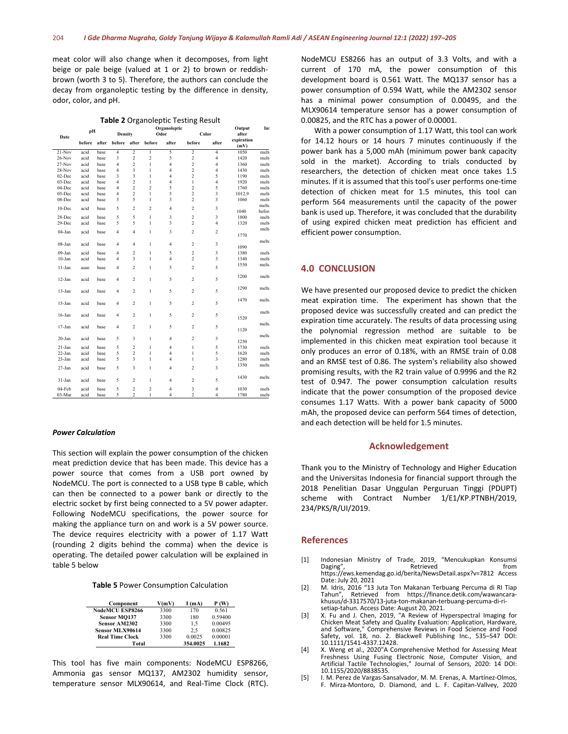meat color will also change when it decomposes, from light beige or pale beige (valued at 1 or 2) to brown or reddishbrown (worth 3 to 5). Therefore, the authors can conclude the decay from organoleptic testing by the difference in density, odor, color, and pH.

| Table 2 Organoleptic Testing Result |        |       |                         |                         |                         |                |                         |                         |                    |       |
|-------------------------------------|--------|-------|-------------------------|-------------------------|-------------------------|----------------|-------------------------|-------------------------|--------------------|-------|
|                                     | pH     |       |                         |                         |                         | Organoleptic   |                         |                         | Output             | In    |
| Date                                |        |       | Density                 |                         |                         | Odor           | Color                   |                         | after              |       |
|                                     | before | after | before                  | after                   | before                  | after          | before                  | after                   | expiration<br>(mV) |       |
| $21-Nov$                            | acid   | base  | 4                       | $\overline{2}$          | $\mathbf{1}$            | 5              | $\overline{c}$          | $\overline{4}$          | 1050               | melt  |
| $26$ -Nov                           | acid   | base  | 3                       | $\mathfrak 2$           | $\overline{c}$          | 5              | $\overline{c}$          | $\overline{4}$          | 1420               | melt  |
| $27-Nov$                            | acid   | base  | 4                       | $\overline{2}$          | $\mathbf{1}$            | 4              | $\overline{c}$          | $\overline{4}$          | 1360               | melt  |
| 28-Nov                              | acid   | base  | 4                       | $\overline{\mathbf{3}}$ | $\,$ $\,$               | 4              | $\overline{c}$          | $\overline{4}$          | 1430               | melt  |
| $02$ -Dec                           | acid   | base  | 3                       | $\overline{\mathbf{3}}$ | $\mathbf{1}$            | 4              | $\overline{c}$          | 5                       | 1190               | melt  |
| $03$ -Dec                           | acid   | base  | 4                       | $\mathfrak 2$           | $\mathbf{1}$            | 4              | $\mathbf{1}$            | $\overline{4}$          | 1920               | melt  |
| 04-Dec                              | acid   | base  | $\overline{\mathbf{4}}$ | $\overline{c}$          | $\overline{c}$          | 5              | $\overline{c}$          | 5                       | 1760               | melt  |
| $05$ -Dec                           | acid   | base  | 4                       | $\overline{c}$          | $\mathbf{1}$            | 5              | $\overline{c}$          | 3                       | 1012,9             | melt  |
| 08-Dec                              | acid   | base  | 5                       | 5                       | $\mathbf{1}$            | 3              | $\overline{c}$          | 3                       | 1060               | melt  |
|                                     |        |       | 5                       | $\overline{c}$          |                         | 4              |                         | 3                       |                    | melto |
| $10$ -Dec                           | acid   | base  |                         |                         | $\overline{c}$          |                | $\overline{\mathbf{c}}$ |                         | 1040               | befor |
| 28-Dec                              | acid   | base  | 5                       | 5                       | $\mathbf{1}$            | 3              | $\overline{c}$          | $\overline{\mathbf{3}}$ | 1800               | melt  |
| 29-Dec                              | acid   | base  | 5                       | 5                       | $\mathbf{1}$            | 3              | $\overline{c}$          | $\overline{4}$          | 1320               | melt  |
| $04-Jan$                            | acid   | base  | $\overline{4}$          | $\overline{4}$          | $\mathbf{1}$            | 3              | $\overline{c}$          | $\overline{2}$          |                    | melt  |
|                                     |        |       |                         |                         |                         |                |                         |                         | 1770               |       |
| $08$ -Jan                           | acid   | base  | 4                       | $\overline{4}$          | $\mathbf{1}$            | 4              | $\overline{c}$          | 3                       |                    | melto |
|                                     |        |       |                         |                         |                         |                |                         |                         | 1090               |       |
| $09-Jan$                            | acid   | base  | $\overline{4}$          | $\overline{\mathbf{c}}$ | $\mathbf{1}$            | 5              | $\overline{c}$          | 3                       | 1380               | melt  |
| $10-Ian$                            | acid   | base  | 4                       | 3                       | $\mathbf{1}$            | 4              | $\overline{c}$          | $\overline{3}$          | 1340               | melt  |
| 11-Jan                              | asan   | base  | $\overline{4}$          | $\overline{c}$          | $\mathbf{1}$            | 5              | $\overline{c}$          | 5                       | 1550               | melto |
|                                     |        |       |                         |                         |                         |                |                         |                         |                    |       |
| $12-Jan$                            | acid   | base  | 4                       | 2                       | 1                       | 5              | $\overline{c}$          | 5                       | 1200               | melt  |
|                                     |        |       |                         |                         |                         |                |                         |                         |                    |       |
| $13-Jan$                            | acid   | base  | $\overline{4}$          | $\overline{c}$          | $\mathbf{1}$            | 5              | $\overline{c}$          | 5                       | 1290               | melto |
|                                     |        |       |                         |                         |                         |                |                         |                         |                    |       |
| $15-Ian$                            | acid   | base  | $\overline{4}$          | $\overline{c}$          | $\mathbf{1}$            | 5              | $\overline{c}$          | 5                       | 1470               | melto |
|                                     |        |       |                         |                         |                         |                |                         |                         |                    | melt  |
| $16$ -Jan                           | acid   | base  | $\overline{4}$          | $\overline{c}$          | $\mathbf{1}$            | 5              | $\overline{c}$          | 5                       | 1520               |       |
|                                     |        |       |                         |                         |                         |                |                         |                         |                    | melto |
| $17-Ian$                            | acid   | base  | $\overline{4}$          | $\overline{c}$          | $\mathbf{1}$            | 5              | $\boldsymbol{2}$        | 5                       | 1120               |       |
|                                     |        |       |                         |                         |                         |                |                         |                         |                    | melto |
| $20 - Jan$                          | acid   | base  | 5                       | 3                       | 1                       | $\overline{4}$ | $\overline{c}$          | 3                       | 1250               |       |
| $21-Jan$                            | acid   | base  | 5                       | $\overline{\mathbf{c}}$ | 1                       | $\overline{4}$ | $\mathbf{I}$            | 5                       | 1730               | melt  |
| 22-Jan                              | acid   | base  | 5                       | $\overline{c}$          | $\,$ $\,$               | $\overline{4}$ | $\mathbf{1}$            | 5                       | 1620               | melt  |
| $23-Ian$                            | acid   | base  | 5                       | 3                       | $\mathbf{1}$            | 4              | 1                       | 3                       | 1280               | melt  |
|                                     |        |       |                         |                         |                         |                |                         |                         | 1350               | melto |
| $27-Ian$                            | acid   | base  | 5                       | 3                       | $\mathbf{1}$            | $\overline{4}$ | $\overline{c}$          | 3                       |                    |       |
|                                     |        |       |                         |                         |                         |                |                         |                         | 1430               | melto |
| $31-Jan$                            | acid   | base  | 5                       | $\overline{c}$          | $\mathbf{1}$            | $\overline{4}$ | $\overline{c}$          | 5                       |                    |       |
| 04-Feb                              | acid   | base  | 5                       | $\overline{\mathbf{c}}$ | $\overline{\mathbf{c}}$ | $\overline{4}$ | 3                       | $\overline{4}$          | 1030               | melt  |
| 03-Mar                              | acid   | base  | 5                       | $\overline{c}$          | $\mathbf{1}$            | $\overline{4}$ | $\overline{c}$          | $\overline{4}$          | 1780               | melt  |

#### *Power Calculation*

This section will explain the power consumption of the chicken meat prediction device that has been made. This device has a power source that comes from a USB port owned by NodeMCU. The port is connected to a USB type B cable, which can then be connected to a power bank or directly to the electric socket by first being connected to a 5V power adapter. Following NodeMCU specifications, the power source for making the appliance turn on and work is a 5V power source. The device requires electricity with a power of 1.17 Watt (rounding 2 digits behind the comma) when the device is operating. The detailed power calculation will be explained in table 5 below

|  |  |  | Table 5 Power Consumption Calculation |
|--|--|--|---------------------------------------|
|--|--|--|---------------------------------------|

| Component              | V(mV) | I(mA)    | P (W)   |
|------------------------|-------|----------|---------|
| NodeMCU ESP8266        | 3300  | 170      | 0.561   |
| Sensor MO137           | 3300  | 180      | 0.59400 |
| <b>Sensor AM2302</b>   | 3300  | 1.5      | 0.00495 |
| Sensor MLX90614        | 3300  | 2.5      | 0.00825 |
| <b>Real Time Clock</b> | 3300  | 0.0025   | 0.00001 |
| Total                  |       | 354.0025 | 1.1682  |

This tool has five main components: NodeMCU ESP8266, Ammonia gas sensor MQ137, AM2302 humidity sensor, temperature sensor MLX90614, and Real-Time Clock (RTC). NodeMCU ES8266 has an output of 3.3 Volts, and with a current of 170 mA, the power consumption of this development board is 0.561 Watt. The MQ137 sensor has a power consumption of 0.594 Watt, while the AM2302 sensor has a minimal power consumption of 0.00495, and the MLX90614 temperature sensor has a power consumption of 0.00825, and the RTC has a power of 0.00001.

With a power consumption of 1.17 Watt, this tool can work for 14.12 hours or 14 hours 7 minutes continuously if the power bank has a 5,000 mAh (minimum power bank capacity sold in the market). According to trials conducted by researchers, the detection of chicken meat once takes 1.5 minutes. If it is assumed that this tool's user performs one-time detection of chicken meat for 1.5 minutes, this tool can perform 564 measurements until the capacity of the power bank is used up. Therefore, it was concluded that the durability of using expired chicken meat prediction has efficient and efficient power consumption.

### **4.0 CONCLUSION**

We have presented our proposed device to predict the chicken meat expiration time. The experiment has shown that the proposed device was successfully created and can predict the expiration time accurately. The results of data processing using the polynomial regression method are suitable to be implemented in this chicken meat expiration tool because it only produces an error of 0.18%, with an RMSE train of 0.08 and an RMSE test of 0.86. The system's reliability also showed promising results, with the R2 train value of 0.9996 and the R2 test of 0.947. The power consumption calculation results indicate that the power consumption of the proposed device consumes 1.17 Watts. With a power bank capacity of 5000 mAh, the proposed device can perform 564 times of detection, and each detection will be held for 1.5 minutes.

#### **Acknowledgement**

Thank you to the Ministry of Technology and Higher Education and the Universitas Indonesia for financial support through the 2018 Penelitian Dasar Unggulan Perguruan Tinggi (PDUPT) scheme with Contract Number 1/E1/KP.PTNBH/2019, 234/PKS/R/UI/2019.

#### **References**

- [1] Indonesian Ministry of Trade, 2019, "Mencukupkan Konsumsi Daging", Retrieved from https://ews.kemendag.go.id/berita/NewsDetail.aspx?v=7812 Access Date: July 20, 2021
- [2] M. Idris, 2016 "13 Juta Ton Makanan Terbuang Percuma di RI Tiap Tahun", Retrieved from https://finance.detik.com/wawancara-<br>khusus/d-3317570/13-juta-ton-makanan-terbuang-percuma-di-rikhusus/d-3317570/13-juta-ton-makanan-terbuang-percuma-di-ri- setiap-tahun. Access Date: August 20, 2021. [3] X. Fu and J. Chen, 2019, "A Review of Hyperspectral Imaging for
- Chicken Meat Safety and Quality Evaluation: Application, Hardware, and Software," Comprehensive Reviews in Food Science and Food Safety, vol. 18, no. 2. Blackwell Publishing Inc., 535–547 DOI: 10.1111/1541-4337.12428.
- [4] X. Weng et al., 2020"A Comprehensive Method for Assessing Meat Freshness Using Fusing Electronic Nose, Computer Vision, and Artificial Tactile Technologies," Journal of Sensors, 2020: 14 DOI: 10.1155/2020/8838535.
- [5] I. M. Perez de Vargas-Sansalvador, M. M. Erenas, A. Martínez-Olmos, F. Mirza-Montoro, D. Diamond, and L. F. Capitan-Vallvey, 2020